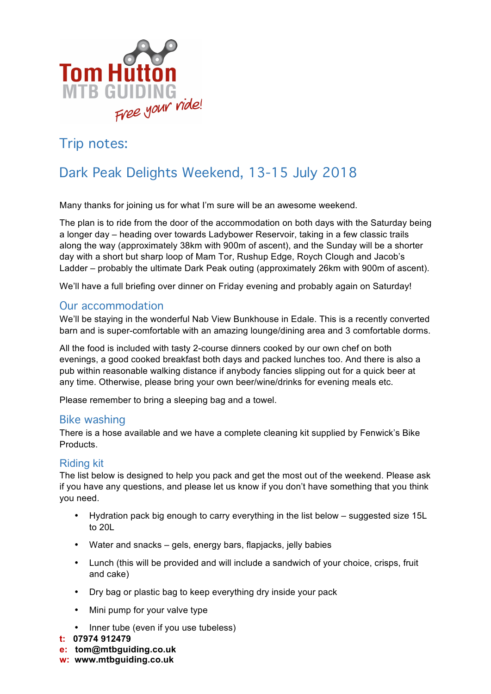

## Trip notes:

# Dark Peak Delights Weekend, 13-15 July 2018

Many thanks for joining us for what I'm sure will be an awesome weekend.

The plan is to ride from the door of the accommodation on both days with the Saturday being a longer day – heading over towards Ladybower Reservoir, taking in a few classic trails along the way (approximately 38km with 900m of ascent), and the Sunday will be a shorter day with a short but sharp loop of Mam Tor, Rushup Edge, Roych Clough and Jacob's Ladder – probably the ultimate Dark Peak outing (approximately 26km with 900m of ascent).

We'll have a full briefing over dinner on Friday evening and probably again on Saturday!

## Our accommodation

We'll be staying in the wonderful Nab View Bunkhouse in Edale. This is a recently converted barn and is super-comfortable with an amazing lounge/dining area and 3 comfortable dorms.

All the food is included with tasty 2-course dinners cooked by our own chef on both evenings, a good cooked breakfast both days and packed lunches too. And there is also a pub within reasonable walking distance if anybody fancies slipping out for a quick beer at any time. Otherwise, please bring your own beer/wine/drinks for evening meals etc.

Please remember to bring a sleeping bag and a towel.

## Bike washing

There is a hose available and we have a complete cleaning kit supplied by Fenwick's Bike Products.

## Riding kit

The list below is designed to help you pack and get the most out of the weekend. Please ask if you have any questions, and please let us know if you don't have something that you think you need.

- Hydration pack big enough to carry everything in the list below suggested size 15L to 20L
- Water and snacks gels, energy bars, flapjacks, jelly babies
- Lunch (this will be provided and will include a sandwich of your choice, crisps, fruit and cake)
- Dry bag or plastic bag to keep everything dry inside your pack
- Mini pump for your valve type
- Inner tube (even if you use tubeless)
- **t: 07974 912479**
- **e: tom@mtbguiding.co.uk**
- **w: www.mtbguiding.co.uk**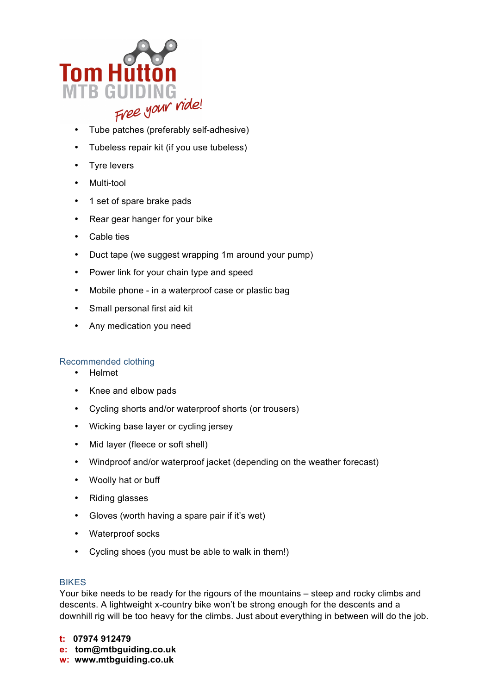

- Tube patches (preferably self-adhesive)
- Tubeless repair kit (if you use tubeless)
- Tyre levers
- Multi-tool
- 1 set of spare brake pads
- Rear gear hanger for your bike
- Cable ties
- Duct tape (we suggest wrapping 1m around your pump)
- Power link for your chain type and speed
- Mobile phone in a waterproof case or plastic bag
- Small personal first aid kit
- Any medication you need

#### Recommended clothing

- Helmet
- Knee and elbow pads
- Cycling shorts and/or waterproof shorts (or trousers)
- Wicking base layer or cycling jersey
- Mid layer (fleece or soft shell)
- Windproof and/or waterproof jacket (depending on the weather forecast)
- Woolly hat or buff
- Riding glasses
- Gloves (worth having a spare pair if it's wet)
- Waterproof socks
- Cycling shoes (you must be able to walk in them!)

#### BIKES

Your bike needs to be ready for the rigours of the mountains – steep and rocky climbs and descents. A lightweight x-country bike won't be strong enough for the descents and a downhill rig will be too heavy for the climbs. Just about everything in between will do the job.

- **t: 07974 912479**
- **e: tom@mtbguiding.co.uk**
- **w: www.mtbguiding.co.uk**